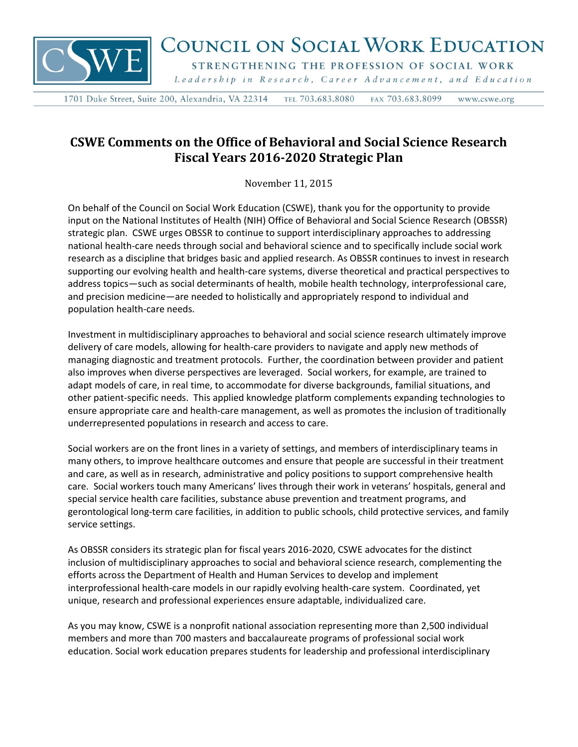

## COUNCIL ON SOCIAL WORK EDUCATION

STRENGTHENING THE PROFESSION OF SOCIAL WORK

Leadership in Research, Career Advancement, and Education

1701 Duke Street, Suite 200, Alexandria, VA 22314 TEL 703.683.8080 FAX 703.683.8099 www.cswe.org

## **CSWE Comments on the Office of Behavioral and Social Science Research Fiscal Years 2016-2020 Strategic Plan**

November 11, 2015

On behalf of the Council on Social Work Education (CSWE), thank you for the opportunity to provide input on the National Institutes of Health (NIH) Office of Behavioral and Social Science Research (OBSSR) strategic plan. CSWE urges OBSSR to continue to support interdisciplinary approaches to addressing national health-care needs through social and behavioral science and to specifically include social work research as a discipline that bridges basic and applied research. As OBSSR continues to invest in research supporting our evolving health and health-care systems, diverse theoretical and practical perspectives to address topics—such as social determinants of health, mobile health technology, interprofessional care, and precision medicine—are needed to holistically and appropriately respond to individual and population health-care needs.

Investment in multidisciplinary approaches to behavioral and social science research ultimately improve delivery of care models, allowing for health-care providers to navigate and apply new methods of managing diagnostic and treatment protocols. Further, the coordination between provider and patient also improves when diverse perspectives are leveraged. Social workers, for example, are trained to adapt models of care, in real time, to accommodate for diverse backgrounds, familial situations, and other patient-specific needs. This applied knowledge platform complements expanding technologies to ensure appropriate care and health-care management, as well as promotes the inclusion of traditionally underrepresented populations in research and access to care.

Social workers are on the front lines in a variety of settings, and members of interdisciplinary teams in many others, to improve healthcare outcomes and ensure that people are successful in their treatment and care, as well as in research, administrative and policy positions to support comprehensive health care. Social workers touch many Americans' lives through their work in veterans' hospitals, general and special service health care facilities, substance abuse prevention and treatment programs, and gerontological long-term care facilities, in addition to public schools, child protective services, and family service settings.

As OBSSR considers its strategic plan for fiscal years 2016-2020, CSWE advocates for the distinct inclusion of multidisciplinary approaches to social and behavioral science research, complementing the efforts across the Department of Health and Human Services to develop and implement interprofessional health-care models in our rapidly evolving health-care system. Coordinated, yet unique, research and professional experiences ensure adaptable, individualized care.

As you may know, CSWE is a nonprofit national association representing more than 2,500 individual members and more than 700 masters and baccalaureate programs of professional social work education. Social work education prepares students for leadership and professional interdisciplinary